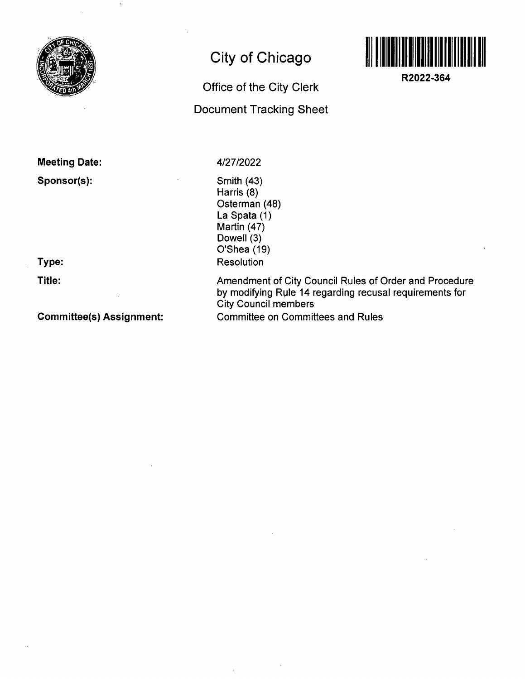

# **City of Chicago**

# **Office of the City Clerk Document Tracking Sheet**



**R2022-364** 

**Meeting Date:** 

**Sponsor(s):** 

**Type:** 

**Title:** 

**Committee(s) Assignment:** 

4/27/2022

Smith (43) Harris (8) Osterman (48) La Spata (1) Martin (47) Dowell (3) O'Shea (19) **Resolution** 

Amendment of City Council Rules of Order and Procedure by modifying Rule 14 regarding recusal requirements for City Council members Committee on Committees and Rules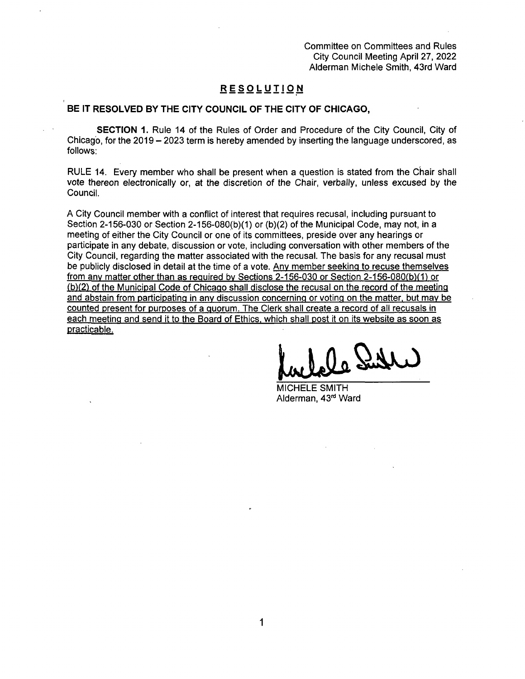Committee on Committees and Rules City Council Meeting April 27, 2022 Alderman Michele Smith, 43rd Ward

#### **RES O LUTI O N**

#### **BE IT RESOLVED BY THE CITY COUNCIL OF THE CITY OF CHICAGO,**

SECTION 1. Rule 14 of the Rules of Order and Procedure of the City Council, City of Chicago, for the 2019 - 2023 term is hereby amended by inserting the language underscored, as follows:

RULE 14. Every member who shall be present when a question is stated from the Chair shall vote thereon electronically or, at the discretion of the Chair, verbally, unless excused by the Council.

A City Council member with a conflict of interest that requires recusal, including pursuant to Section 2-156-030 or Section 2-156-080(b)(1) or (b)(2) of the Municipal Code, may not, in a meeting of either the City Council or one of its committees, preside over any hearings or participate in any debate, discussion or vote, including conversation with other members of the City Council, regarding the matter associated with the recusal. The basis for any recusal must be publicly disclosed in detail at the time of a vote. Anv member seeking to recuse themselves from anv matter other than as required bv Sections 2-156-030 or Section 2-156-080(b)(1) or  $(b)(2)$  of the Municipal Code of Chicago shall disclose the recusal on the record of the meeting and abstain from participating in any discussion concerning or voting on the matter, but may be counted present for purposes of a quorum. The Clerk shall create a record of all recusals in each meeting and send it to the Board of Ethics, which shall post it on its website as soon as practicable.

MICHELE SMITH Alderman, 43<sup>rd</sup> Ward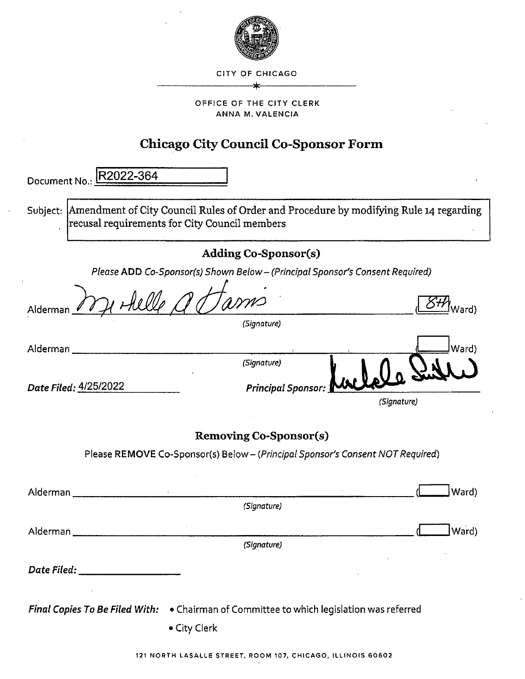

CITY OF CHICAGO

\*

#### OFFICE OF THE CITY CLERK ANNA M. VALENCIA

## **Chicago City Council Co-Sponsor Form**

| Document No.: <b>R2022-364</b>                |                                                                                                 |             |
|-----------------------------------------------|-------------------------------------------------------------------------------------------------|-------------|
| recusal requirements for City Council members | Subject:  Amendment of City Council Rules of Order and Procedure by modifying Rule 14 regarding |             |
|                                               | <b>Adding Co-Sponsor(s)</b>                                                                     |             |
|                                               | Please ADD Co-Sponsor(s) Shown Below - (Principal Sponsor's Consent Required)                   |             |
| Alderman <u>- «</u>                           |                                                                                                 | Vard)       |
|                                               | (Signature)                                                                                     |             |
| Alderman j                                    |                                                                                                 | Ward)       |
|                                               | (Signature)                                                                                     |             |
|                                               | <b>Principal Sponsor:</b>                                                                       |             |
|                                               |                                                                                                 | (Signature) |
|                                               | <b>Removing Co-Sponsor(s)</b>                                                                   |             |
|                                               | Please REMOVE Co-Sponsor(s) Below - (Principal Sponsor's Consent NOT Required)                  |             |
|                                               |                                                                                                 |             |
| Alderman                                      | (Signature)                                                                                     | Ward)       |
|                                               |                                                                                                 |             |
| Alderman                                      | (Signature)                                                                                     | Ward)       |
|                                               |                                                                                                 |             |
| Date Filed: _____________________             |                                                                                                 |             |

• City Clerk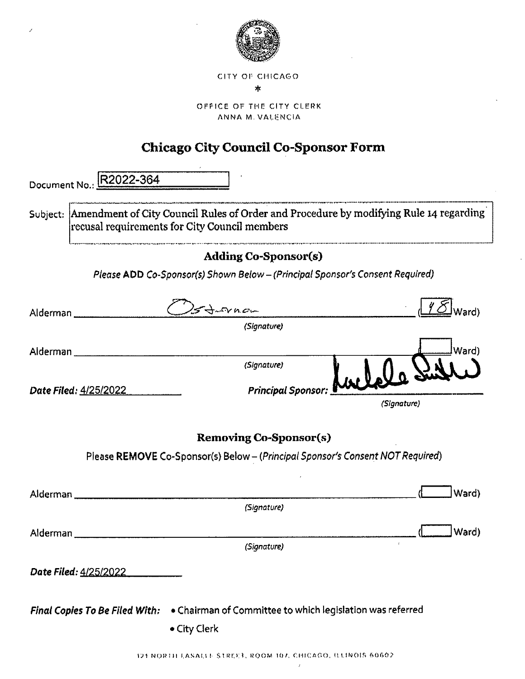

CITY OF CHICAGO  $\star$ 

OFFICE OF THE CITY CLERK. ANNA M. VALENCIA

# **Chicago City Council Co-Sponsor Form**

| Document No.: | R2022-364                                                                                                                                           |              |                               |                           |             |       |
|---------------|-----------------------------------------------------------------------------------------------------------------------------------------------------|--------------|-------------------------------|---------------------------|-------------|-------|
|               | Subject: $ $ Amendment of City Council Rules of Order and Procedure by modifying Rule 14 regarding<br>recusal requirements for City Council members |              |                               |                           |             |       |
|               |                                                                                                                                                     |              | <b>Adding Co-Sponsor(s)</b>   |                           |             |       |
|               | Please ADD Co-Sponsor(s) Shown Below - (Principal Sponsor's Consent Required)                                                                       |              |                               |                           |             |       |
|               | Alderman _____________________                                                                                                                      |              | $4 - 6$ $\mu$ $\sigma$ $-$    |                           |             |       |
|               |                                                                                                                                                     |              | (Signature)                   |                           |             |       |
| Alderman __   |                                                                                                                                                     |              |                               |                           |             | Ward) |
|               |                                                                                                                                                     |              | (Signature)                   |                           |             |       |
|               | Date Filed: <u>4/25/2022.</u>                                                                                                                       |              |                               | Principal Sponsor: Mullel |             |       |
|               |                                                                                                                                                     |              |                               |                           | (Signature) |       |
|               |                                                                                                                                                     |              | <b>Removing Co-Sponsor(s)</b> |                           |             |       |
|               | Please REMOVE Co-Sponsor(s) Below - (Principal Sponsor's Consent NOT Required)                                                                      |              |                               |                           |             |       |
| Alderman __   |                                                                                                                                                     |              |                               |                           |             | Ward) |
|               |                                                                                                                                                     |              | (Signature)                   |                           |             |       |
|               |                                                                                                                                                     |              |                               |                           |             | Ward) |
| Alderman      |                                                                                                                                                     |              | (Signature)                   |                           | ÷.          |       |
|               |                                                                                                                                                     |              |                               |                           |             |       |
|               | Date Filed: 4/25/2022                                                                                                                               |              |                               |                           |             |       |
|               | Final Copies To Be Filed With: . Chairman of Committee to which legislation was referred                                                            | • City Clerk |                               |                           |             |       |

 $\bar{z}$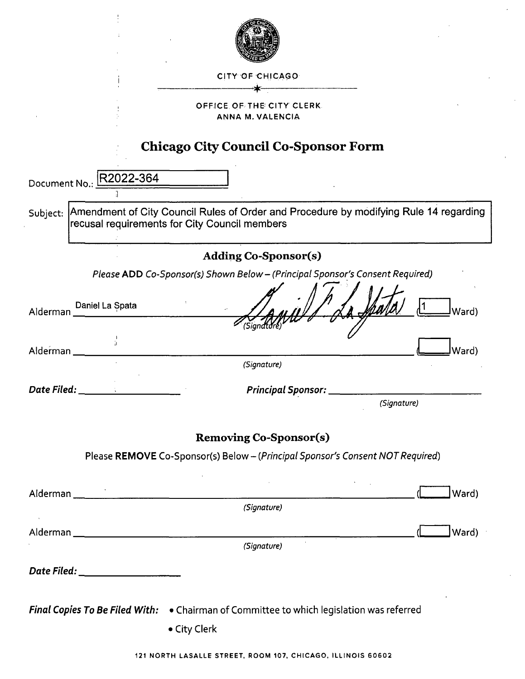| CITY OF CHICAGO                                                                                                                                    |
|----------------------------------------------------------------------------------------------------------------------------------------------------|
| OFFICE OF THE CITY CLERK.                                                                                                                          |
| ANNA M. VALENCIA                                                                                                                                   |
| <b>Chicago City Council Co-Sponsor Form</b>                                                                                                        |
|                                                                                                                                                    |
| Document No.: R2022-364                                                                                                                            |
| Amendment of City Council Rules of Order and Procedure by modifying Rule 14 regarding<br>Subject:<br>recusal requirements for City Council members |
| <b>Adding Co-Sponsor(s)</b>                                                                                                                        |
| Please ADD Co-Sponsor(s) Shown Below - (Principal Sponsor's Consent Required)                                                                      |
| Daniel La Spata<br>Ward)<br>Alderman                                                                                                               |
| (Sigr<br>Alderman<br>Ward)                                                                                                                         |
| (Signature)                                                                                                                                        |
| Date Filed: _<br><b>Principal Sponsor:</b><br>(Signature)                                                                                          |
|                                                                                                                                                    |
| <b>Removing Co-Sponsor(s)</b>                                                                                                                      |
| Please REMOVE Co-Sponsor(s) Below - (Principal Sponsor's Consent NOT Required)                                                                     |
| Alderman<br>Ward)                                                                                                                                  |
| (Signature)                                                                                                                                        |
| $\mathcal{A}$ .<br>Ward)                                                                                                                           |
| (Signature)                                                                                                                                        |
| Date Filed: ____________________                                                                                                                   |
| Final Copies To Be Filed With: . Chairman of Committee to which legislation was referred                                                           |
| • City Clerk                                                                                                                                       |
|                                                                                                                                                    |
| 121 NORTH LASALLE STREET, ROOM 107, CHICAGO, ILLINOIS 60602                                                                                        |

 $\epsilon$ 

 $\bar{1}$ 

 $\hat{\mathcal{L}}$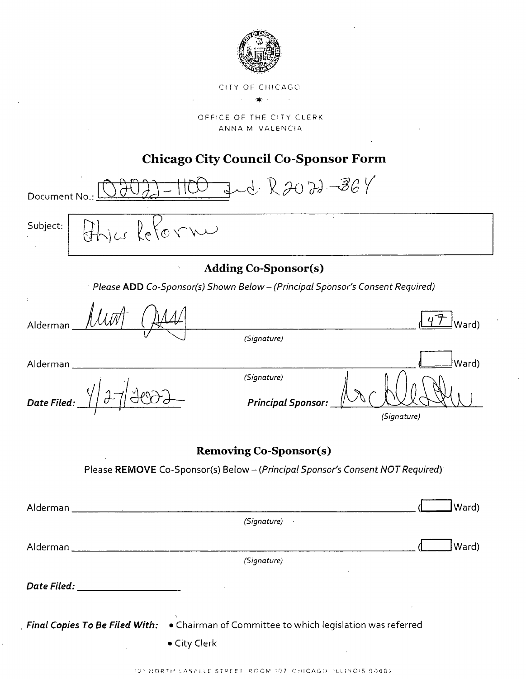

CITY OF CHICAGO

OFFICE OF THE CITY CLERK ANNA M VALENCIA

### **Chicago City Council Co-Sponsor Form**

 $JdR2072-364$ Document No.: Subject:  $\vec{\alpha}$ **Adding Co-Sponsor(s)** Please ADD Co-Sponsor(s) Shown Below - (Principal Sponsor's Consent Required) Alderman Ward) (Signature) (Ward Alderman (Signature) Date Filed: **Principal Sponsor:** (Signature) **Removing Co-Sponsor(s)** Please REMOVE Co-Sponsor(s) Below - (Principal Sponsor's Consent NOT Required)  $J$ Ward) Alderman  $(Signature)$ 

121 NORTH LASALLE STREET ROOM 107 CHICAGO ILLINOIS 60602

Final Copies To Be Filed With: . Chairman of Committee to which legislation was referred

· City Clerk

(Signature)

Ward)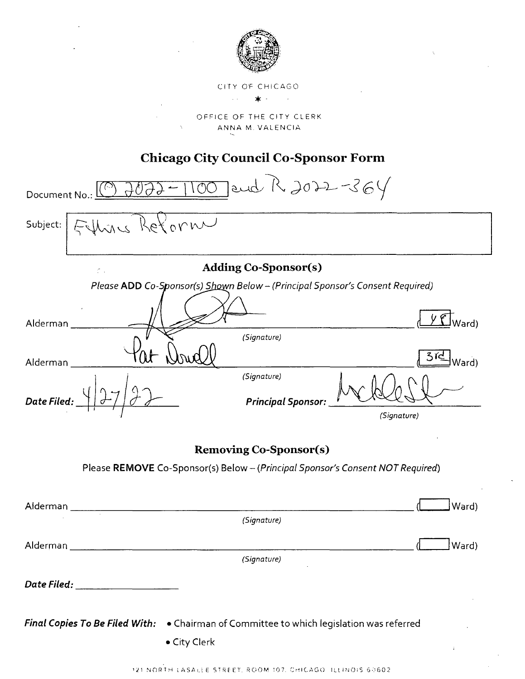

# CiTY OF CHiCAG O \* •

OFFICE OF THE CITY CLERK ANNA M. VALENCIA

### **Chicago City Council Co-Sponsor Form**

and R 2022-364  $\overline{C}$ Document No.: Subject:  $O<sub>Y</sub>$ Adding Co-Sponsor(s)  $\sigma$  . Please ADD Co-Sponsor(s) Shown Below - (Principal Sponsor's Consent Required)  $\underline{\mathbf{C}}$ Ward) Alderman (Signature) Ward) Alderman (Signature) Date Filed **Principal Sponsor:**  (Signature)

### Removing Co-Sponsor(s)

Please REMOVE Co-Sponsor(s) Below - (Principal Sponsor's Consent NOT Required)

| Alderman |                                                                                                          | Ward) |
|----------|----------------------------------------------------------------------------------------------------------|-------|
| $\sim$   | (Signature)                                                                                              |       |
| Alderman |                                                                                                          | Ward) |
|          | (Signature)                                                                                              |       |
|          |                                                                                                          |       |
|          | Final Copies To Be Filed With: . Chairman of Committee to which legislation was referred<br>• City Clerk |       |